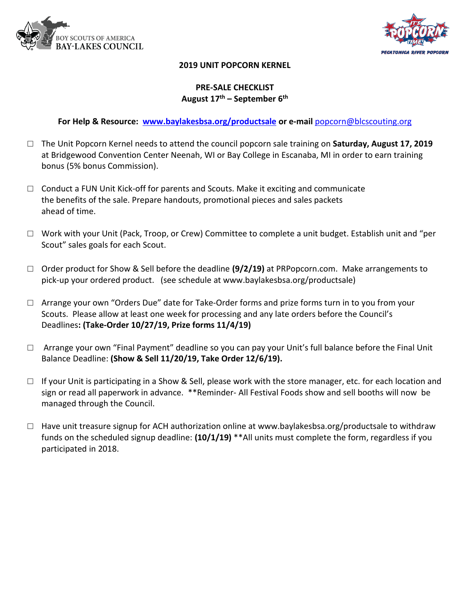



### **2019 UNIT POPCORN KERNEL**

## **PRE-SALE CHECKLIST August 17 th – September 6 th**

**For Help & Resource: [www.baylakesbsa.org/productsale](http://www.baylakesbsa.org/productsale) or e-mail** [popcorn@blcscouting.org](mailto:popcorn@blcscouting.org)

- □ The Unit Popcorn Kernel needs to attend the council popcorn sale training on **Saturday, August 17, 2019**  at Bridgewood Convention Center Neenah, WI or Bay College in Escanaba, MI in order to earn training bonus (5% bonus Commission).
- $\Box$  Conduct a FUN Unit Kick-off for parents and Scouts. Make it exciting and communicate the benefits of the sale. Prepare handouts, promotional pieces and sales packets ahead of time.
- $\Box$  Work with your Unit (Pack, Troop, or Crew) Committee to complete a unit budget. Establish unit and "per Scout" sales goals for each Scout.
- □ Order product for Show & Sell before the deadline **(9/2/19)** at PRPopcorn.com. Make arrangements to pick-up your ordered product. (see schedule at www.baylakesbsa.org/productsale)
- $\Box$  Arrange your own "Orders Due" date for Take-Order forms and prize forms turn in to you from your Scouts. Please allow at least one week for processing and any late orders before the Council's Deadlines**: (Take-Order 10/27/19, Prize forms 11/4/19)**
- $\Box$  Arrange your own "Final Payment" deadline so you can pay your Unit's full balance before the Final Unit Balance Deadline: **(Show & Sell 11/20/19, Take Order 12/6/19).**
- $\Box$  If your Unit is participating in a Show & Sell, please work with the store manager, etc. for each location and sign or read all paperwork in advance. \*\*Reminder- All Festival Foods show and sell booths will now be managed through the Council.
- □ Have unit treasure signup for ACH authorization online at www.baylakesbsa.org/productsale to withdraw funds on the scheduled signup deadline: **(10/1/19)** \*\*All units must complete the form, regardless if you participated in 2018.